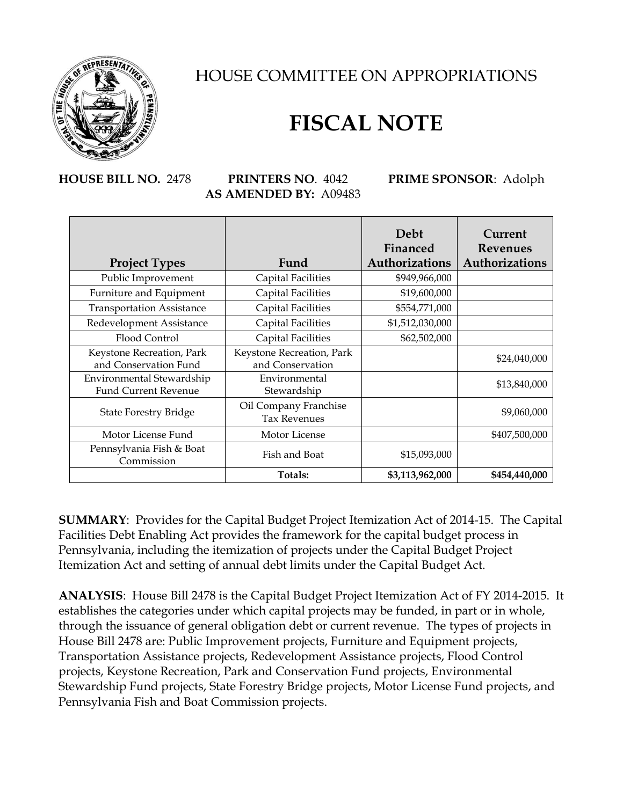

HOUSE COMMITTEE ON APPROPRIATIONS

## **FISCAL NOTE**

## **HOUSE BILL NO.** 2478 **PRINTERS NO**. 4042 **PRIME SPONSOR**: Adolph **AS AMENDED BY:** A09483

|                                                          |                                               | Debt<br>Financed | Current<br><b>Revenues</b> |
|----------------------------------------------------------|-----------------------------------------------|------------------|----------------------------|
| <b>Project Types</b>                                     | Fund                                          | Authorizations   | Authorizations             |
| Public Improvement                                       | Capital Facilities                            | \$949,966,000    |                            |
| Furniture and Equipment                                  | Capital Facilities                            | \$19,600,000     |                            |
| <b>Transportation Assistance</b>                         | <b>Capital Facilities</b>                     | \$554,771,000    |                            |
| Redevelopment Assistance                                 | <b>Capital Facilities</b>                     | \$1,512,030,000  |                            |
| Flood Control                                            | <b>Capital Facilities</b>                     | \$62,502,000     |                            |
| Keystone Recreation, Park<br>and Conservation Fund       | Keystone Recreation, Park<br>and Conservation |                  | \$24,040,000               |
| Environmental Stewardship<br><b>Fund Current Revenue</b> | Environmental<br>Stewardship                  |                  | \$13,840,000               |
| <b>State Forestry Bridge</b>                             | Oil Company Franchise<br><b>Tax Revenues</b>  |                  | \$9,060,000                |
| Motor License Fund                                       | Motor License                                 |                  | \$407,500,000              |
| Pennsylvania Fish & Boat<br>Commission                   | Fish and Boat                                 | \$15,093,000     |                            |
|                                                          | Totals:                                       | \$3,113,962,000  | \$454,440,000              |

**SUMMARY**: Provides for the Capital Budget Project Itemization Act of 2014-15. The Capital Facilities Debt Enabling Act provides the framework for the capital budget process in Pennsylvania, including the itemization of projects under the Capital Budget Project Itemization Act and setting of annual debt limits under the Capital Budget Act.

**ANALYSIS**: House Bill 2478 is the Capital Budget Project Itemization Act of FY 2014-2015. It establishes the categories under which capital projects may be funded, in part or in whole, through the issuance of general obligation debt or current revenue. The types of projects in House Bill 2478 are: Public Improvement projects, Furniture and Equipment projects, Transportation Assistance projects, Redevelopment Assistance projects, Flood Control projects, Keystone Recreation, Park and Conservation Fund projects, Environmental Stewardship Fund projects, State Forestry Bridge projects, Motor License Fund projects, and Pennsylvania Fish and Boat Commission projects.